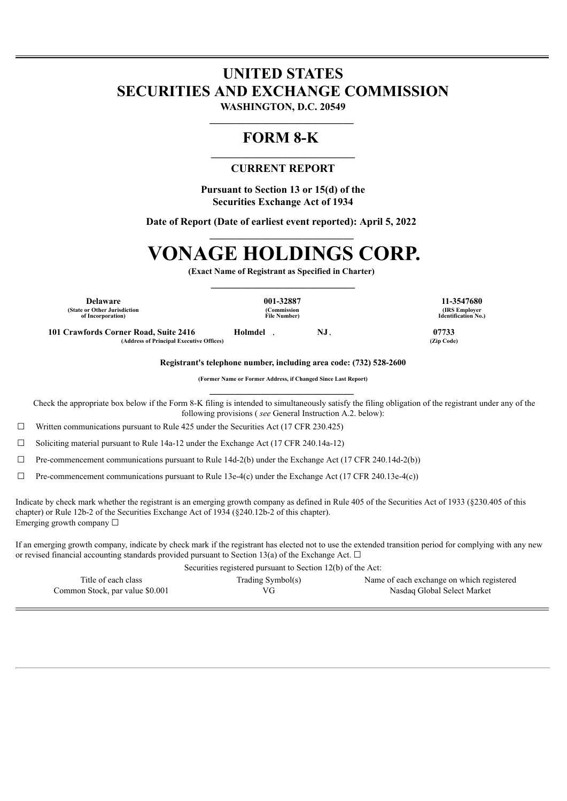## **UNITED STATES SECURITIES AND EXCHANGE COMMISSION**

**WASHINGTON, D.C. 20549 \_\_\_\_\_\_\_\_\_\_\_\_\_\_\_\_\_\_\_\_\_\_\_\_\_\_\_\_** 

## **FORM 8-K**

### **\_\_\_\_\_\_\_\_\_\_\_\_\_\_\_\_\_\_\_\_\_\_\_\_\_\_\_\_ CURRENT REPORT**

**Pursuant to Section 13 or 15(d) of the Securities Exchange Act of 1934**

**Date of Report (Date of earliest event reported): April 5, 2022** 

# **VONAGE HOLDINGS CORP.**

**(Exact Name of Registrant as Specified in Charter) \_\_\_\_\_\_\_\_\_\_\_\_\_\_\_\_\_\_\_\_\_\_\_\_\_\_\_\_** 

**Delaware 001-32887 11-3547680 (State or Other Jurisdiction of Incorporation)**

**(Commission File Number)**

**101 Crawfords Corner Road, Suite 2416 Holmdel , NJ , 07733 (Address of Principal Executive Offices) (Zip Code)**

**(IRS Employer Identification No.)**

**Registrant's telephone number, including area code: (732) 528-2600**

**(Former Name or Former Address, if Changed Since Last Report) \_\_\_\_\_\_\_\_\_\_\_\_\_\_\_\_\_\_\_\_\_\_\_\_\_\_\_\_** 

Check the appropriate box below if the Form 8-K filing is intended to simultaneously satisfy the filing obligation of the registrant under any of the following provisions ( *see* General Instruction A.2. below):

 $\Box$  Written communications pursuant to Rule 425 under the Securities Act (17 CFR 230.425)

☐ Soliciting material pursuant to Rule 14a-12 under the Exchange Act (17 CFR 240.14a-12)

☐ Pre-commencement communications pursuant to Rule 14d-2(b) under the Exchange Act (17 CFR 240.14d-2(b))

 $\Box$  Pre-commencement communications pursuant to Rule 13e-4(c) under the Exchange Act (17 CFR 240.13e-4(c))

Indicate by check mark whether the registrant is an emerging growth company as defined in Rule 405 of the Securities Act of 1933 (§230.405 of this chapter) or Rule 12b-2 of the Securities Exchange Act of 1934 (§240.12b-2 of this chapter). Emerging growth company  $\Box$ 

If an emerging growth company, indicate by check mark if the registrant has elected not to use the extended transition period for complying with any new or revised financial accounting standards provided pursuant to Section 13(a) of the Exchange Act.  $\Box$ 

| Securities registered pursuant to Section 12(b) of the Act: |                   |                                           |
|-------------------------------------------------------------|-------------------|-------------------------------------------|
| Title of each class                                         | Trading Symbol(s) | Name of each exchange on which registered |
| Common Stock, par value \$0.001                             | VG                | Nasdag Global Select Market               |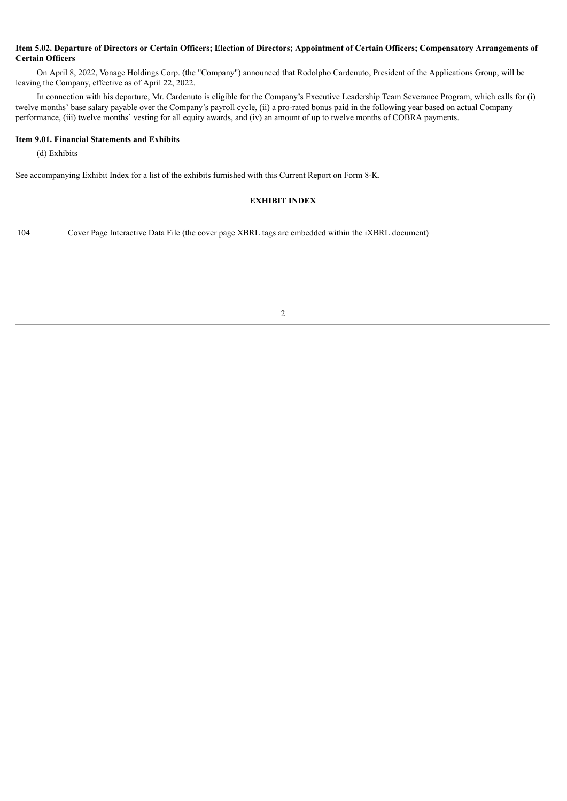#### Item 5.02. Departure of Directors or Certain Officers; Election of Directors; Appointment of Certain Officers; Compensatory Arrangements of **Certain Officers**

On April 8, 2022, Vonage Holdings Corp. (the "Company") announced that Rodolpho Cardenuto, President of the Applications Group, will be leaving the Company, effective as of April 22, 2022.

In connection with his departure, Mr. Cardenuto is eligible for the Company's Executive Leadership Team Severance Program, which calls for (i) twelve months' base salary payable over the Company's payroll cycle, (ii) a pro-rated bonus paid in the following year based on actual Company performance, (iii) twelve months' vesting for all equity awards, and (iv) an amount of up to twelve months of COBRA payments.

#### **Item 9.01. Financial Statements and Exhibits**

(d) Exhibits

See accompanying Exhibit Index for a list of the exhibits furnished with this Current Report on Form 8-K.

#### **EXHIBIT INDEX**

104 Cover Page Interactive Data File (the cover page XBRL tags are embedded within the iXBRL document)